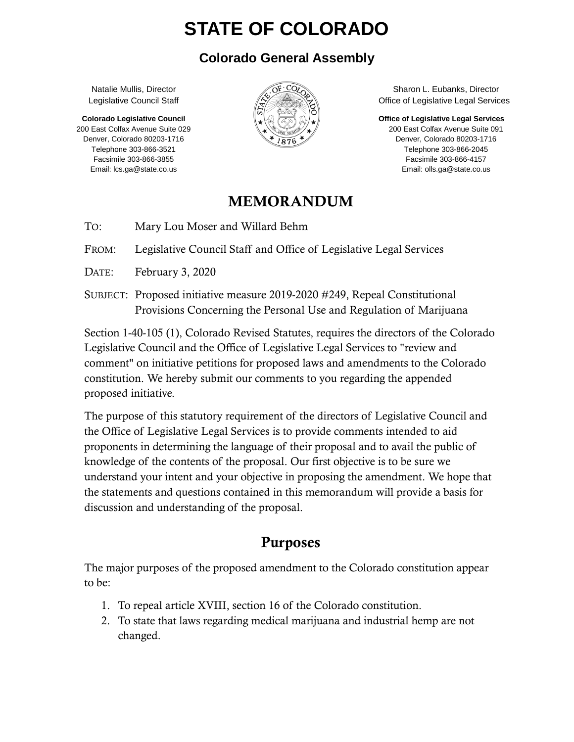# **STATE OF COLORADO**

#### **Colorado General Assembly**

Natalie Mullis, Director Legislative Council Staff

**Colorado Legislative Council** 200 East Colfax Avenue Suite 029 Denver, Colorado 80203-1716 Telephone 303-866-3521 Facsimile 303-866-3855 Email: lcs.ga@state.co.us



Sharon L. Eubanks, Director Office of Legislative Legal Services

**Office of Legislative Legal Services**

200 East Colfax Avenue Suite 091 Denver, Colorado 80203-1716 Telephone 303-866-2045 Facsimile 303-866-4157 Email: olls.ga@state.co.us

### MEMORANDUM

TO: Mary Lou Moser and Willard Behm

FROM: Legislative Council Staff and Office of Legislative Legal Services

DATE: February 3, 2020

SUBJECT: Proposed initiative measure 2019-2020 #249, Repeal Constitutional Provisions Concerning the Personal Use and Regulation of Marijuana

Section 1-40-105 (1), Colorado Revised Statutes, requires the directors of the Colorado Legislative Council and the Office of Legislative Legal Services to "review and comment" on initiative petitions for proposed laws and amendments to the Colorado constitution. We hereby submit our comments to you regarding the appended proposed initiative.

The purpose of this statutory requirement of the directors of Legislative Council and the Office of Legislative Legal Services is to provide comments intended to aid proponents in determining the language of their proposal and to avail the public of knowledge of the contents of the proposal. Our first objective is to be sure we understand your intent and your objective in proposing the amendment. We hope that the statements and questions contained in this memorandum will provide a basis for discussion and understanding of the proposal.

# Purposes

The major purposes of the proposed amendment to the Colorado constitution appear to be:

- 1. To repeal article XVIII, section 16 of the Colorado constitution.
- 2. To state that laws regarding medical marijuana and industrial hemp are not changed.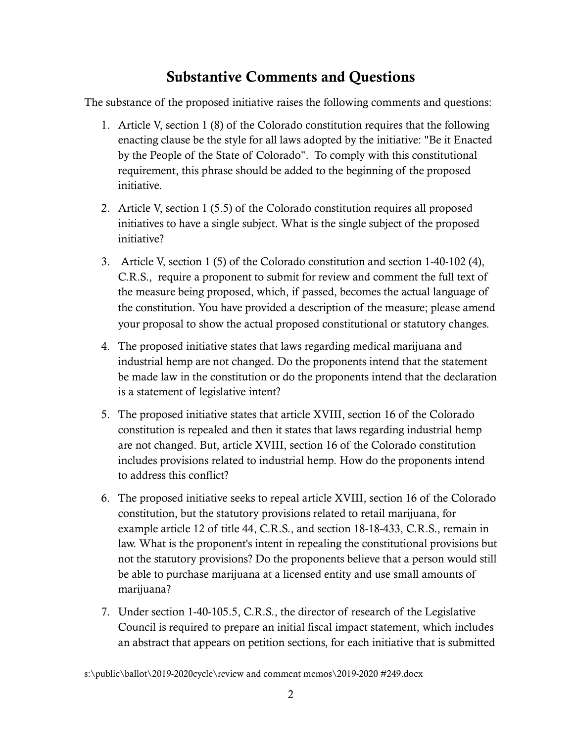## Substantive Comments and Questions

The substance of the proposed initiative raises the following comments and questions:

- 1. Article V, section 1 (8) of the Colorado constitution requires that the following enacting clause be the style for all laws adopted by the initiative: "Be it Enacted by the People of the State of Colorado". To comply with this constitutional requirement, this phrase should be added to the beginning of the proposed initiative.
- 2. Article V, section 1 (5.5) of the Colorado constitution requires all proposed initiatives to have a single subject. What is the single subject of the proposed initiative?
- 3. Article V, section 1 (5) of the Colorado constitution and section 1-40-102 (4), C.R.S., require a proponent to submit for review and comment the full text of the measure being proposed, which, if passed, becomes the actual language of the constitution. You have provided a description of the measure; please amend your proposal to show the actual proposed constitutional or statutory changes.
- 4. The proposed initiative states that laws regarding medical marijuana and industrial hemp are not changed. Do the proponents intend that the statement be made law in the constitution or do the proponents intend that the declaration is a statement of legislative intent?
- 5. The proposed initiative states that article XVIII, section 16 of the Colorado constitution is repealed and then it states that laws regarding industrial hemp are not changed. But, article XVIII, section 16 of the Colorado constitution includes provisions related to industrial hemp. How do the proponents intend to address this conflict?
- 6. The proposed initiative seeks to repeal article XVIII, section 16 of the Colorado constitution, but the statutory provisions related to retail marijuana, for example article 12 of title 44, C.R.S., and section 18-18-433, C.R.S., remain in law. What is the proponent's intent in repealing the constitutional provisions but not the statutory provisions? Do the proponents believe that a person would still be able to purchase marijuana at a licensed entity and use small amounts of marijuana?
- 7. Under section 1-40-105.5, C.R.S., the director of research of the Legislative Council is required to prepare an initial fiscal impact statement, which includes an abstract that appears on petition sections, for each initiative that is submitted

s:\public\ballot\2019-2020cycle\review and comment memos\2019-2020 #249.docx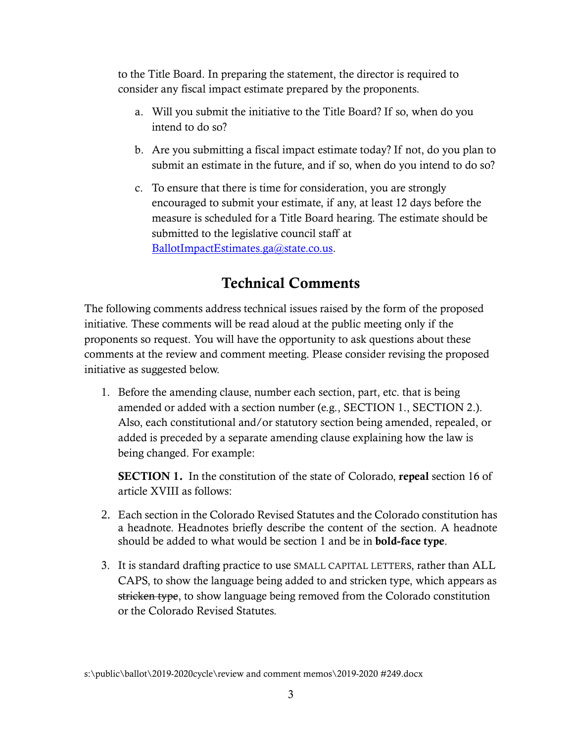to the Title Board. In preparing the statement, the director is required to consider any fiscal impact estimate prepared by the proponents.

- a. Will you submit the initiative to the Title Board? If so, when do you intend to do so?
- b. Are you submitting a fiscal impact estimate today? If not, do you plan to submit an estimate in the future, and if so, when do you intend to do so?
- c. To ensure that there is time for consideration, you are strongly encouraged to submit your estimate, if any, at least 12 days before the measure is scheduled for a Title Board hearing. The estimate should be submitted to the legislative council staff at [BallotImpactEstimates.ga@state.co.us.](mailto:BallotImpactEstimates.ga@state.co.us)

## Technical Comments

The following comments address technical issues raised by the form of the proposed initiative. These comments will be read aloud at the public meeting only if the proponents so request. You will have the opportunity to ask questions about these comments at the review and comment meeting. Please consider revising the proposed initiative as suggested below.

1. Before the amending clause, number each section, part, etc. that is being amended or added with a section number (e.g., SECTION 1., SECTION 2.). Also, each constitutional and/or statutory section being amended, repealed, or added is preceded by a separate amending clause explaining how the law is being changed. For example:

**SECTION 1.** In the constitution of the state of Colorado, repeal section 16 of article XVIII as follows:

- 2. Each section in the Colorado Revised Statutes and the Colorado constitution has a headnote. Headnotes briefly describe the content of the section. A headnote should be added to what would be section 1 and be in bold-face type.
- 3. It is standard drafting practice to use SMALL CAPITAL LETTERS, rather than ALL CAPS, to show the language being added to and stricken type, which appears as stricken type, to show language being removed from the Colorado constitution or the Colorado Revised Statutes.